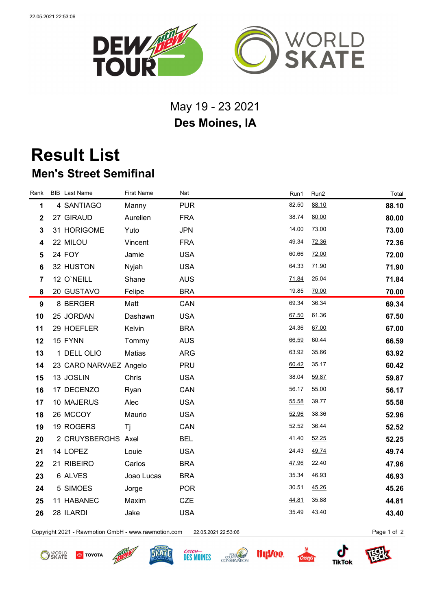

## May 19 - 23 2021 **Des Moines, IA**

## **Result List Men's Street Semifinal**

| Rank                    | <b>BIB</b> Last Name   | <b>First Name</b> | Nat        | Run1  | Run2  | Total |
|-------------------------|------------------------|-------------------|------------|-------|-------|-------|
| 1                       | 4 SANTIAGO             | Manny             | <b>PUR</b> | 82.50 | 88.10 | 88.10 |
| $\mathbf 2$             | 27 GIRAUD              | Aurelien          | <b>FRA</b> | 38.74 | 80.00 | 80.00 |
| 3                       | 31 HORIGOME            | Yuto              | <b>JPN</b> | 14.00 | 73.00 | 73.00 |
| $\overline{\mathbf{4}}$ | 22 MILOU               | Vincent           | <b>FRA</b> | 49.34 | 72.36 | 72.36 |
| 5                       | 24 FOY                 | Jamie             | <b>USA</b> | 60.66 | 72.00 | 72.00 |
| 6                       | 32 HUSTON              | Nyjah             | <b>USA</b> | 64.33 | 71.90 | 71.90 |
| $\overline{7}$          | 12 O'NEILL             | Shane             | <b>AUS</b> | 71.84 | 25.04 | 71.84 |
| 8                       | 20 GUSTAVO             | Felipe            | <b>BRA</b> | 19.85 | 70.00 | 70.00 |
| 9                       | 8 BERGER               | Matt              | CAN        | 69.34 | 36.34 | 69.34 |
| 10                      | 25 JORDAN              | Dashawn           | <b>USA</b> | 67.50 | 61.36 | 67.50 |
| 11                      | 29 HOEFLER             | Kelvin            | <b>BRA</b> | 24.36 | 67.00 | 67.00 |
| 12                      | 15 FYNN                | Tommy             | <b>AUS</b> | 66.59 | 60.44 | 66.59 |
| 13                      | 1 DELL OLIO            | Matias            | <b>ARG</b> | 63.92 | 35.66 | 63.92 |
| 14                      | 23 CARO NARVAEZ Angelo |                   | <b>PRU</b> | 60.42 | 35.17 | 60.42 |
| 15                      | 13 JOSLIN              | Chris             | <b>USA</b> | 38.04 | 59.87 | 59.87 |
| 16                      | 17 DECENZO             | Ryan              | CAN        | 56.17 | 55.00 | 56.17 |
| 17                      | 10 MAJERUS             | Alec              | <b>USA</b> | 55.58 | 39.77 | 55.58 |
| 18                      | 26 MCCOY               | Maurio            | <b>USA</b> | 52.96 | 38.36 | 52.96 |
| 19                      | 19 ROGERS              | Τj                | CAN        | 52.52 | 36.44 | 52.52 |
| 20                      | 2 CRUYSBERGHS Axel     |                   | <b>BEL</b> | 41.40 | 52.25 | 52.25 |
| 21                      | 14 LOPEZ               | Louie             | <b>USA</b> | 24.43 | 49.74 | 49.74 |
| 22                      | 21 RIBEIRO             | Carlos            | <b>BRA</b> | 47.96 | 22.40 | 47.96 |
| 23                      | 6 ALVES                | Joao Lucas        | <b>BRA</b> | 35.34 | 46.93 | 46.93 |
| 24                      | 5 SIMOES               | Jorge             | <b>POR</b> | 30.51 | 45.26 | 45.26 |
| 25                      | 11 HABANEC             | Maxim             | <b>CZE</b> | 44.81 | 35.88 | 44.81 |
| 26                      | 28 ILARDI              | Jake              | <b>USA</b> | 35.49 | 43.40 | 43.40 |
|                         |                        |                   |            |       |       |       |

Copyright 2021 - Rawmotion GmbH - www.rawmotion.com 22.05.2021 22:53:06 Page 1 of 2

**O** SKATE **TOYOTA**